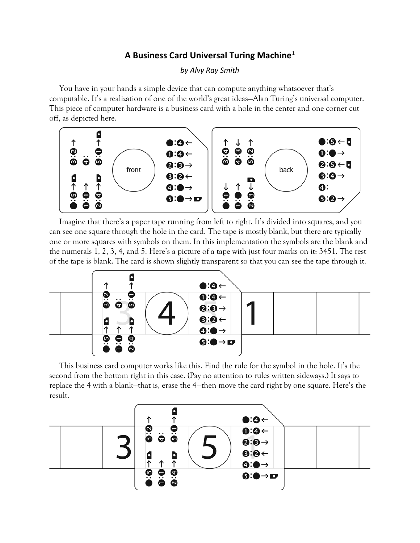## A Business Card Universal Turing Machine<sup>[1](#page-2-0)</sup>

## *by#Alvy#Ray#Smith*

You have in your hands a simple device that can compute anything whatsoever that's computable. It's a realization of one of the world's great ideas—Alan Turing's universal computer. This piece of computer hardware is a business card with a hole in the center and one corner cut off, as depicted here.



Imagine that there's a paper tape running from left to right. It's divided into squares, and you can see one square through the hole in the card. The tape is mostly blank, but there are typically one or more squares with symbols on them. In this implementation the symbols are the blank and the numerals 1, 2, 3, 4, and 5. Here's a picture of a tape with just four marks on it:  $3451$ . The rest of the tape is blank. The card is shown slightly transparent so that you can see the tape through it.



This business card computer works like this. Find the rule for the symbol in the hole. It's the second from the bottom right in this case. (Pay no attention to rules written sideways.) It says to replace the 4 with a blank—that is, erase the 4—then move the card right by one square. Here's the result.

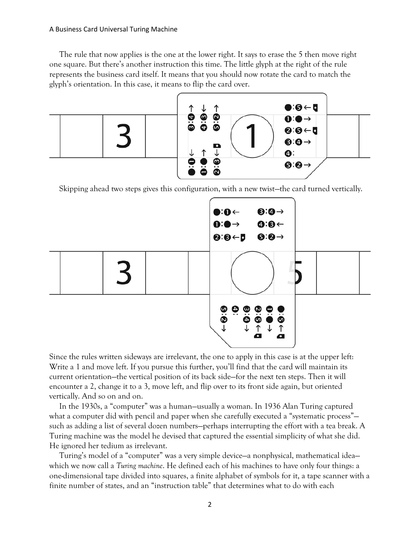## A Business Card Universal Turing Machine

The rule that now applies is the one at the lower right. It says to erase the 5 then move right one square. But there's another instruction this time. The little glyph at the right of the rule represents the business card itself. It means that you should now rotate the card to match the glyph's orientation. In this case, it means to flip the card over.



Skipping ahead two steps gives this configuration, with a new twist—the card turned vertically.



Since the rules written sideways are irrelevant, the one to apply in this case is at the upper left: Write a 1 and move left. If you pursue this further, you'll find that the card will maintain its current orientation—the vertical position of its back side—for the next ten steps. Then it will encounter a 2, change it to a 3, move left, and flip over to its front side again, but oriented vertically. And so on and on.

In the 1930s, a "computer" was a human—usually a woman. In 1936 Alan Turing captured what a computer did with pencil and paper when she carefully executed a "systematic process" such as adding a list of several dozen numbers—perhaps interrupting the effort with a tea break. A Turing machine was the model he devised that captured the essential simplicity of what she did. He ignored her tedium as irrelevant.

Turing's model of a "computer" was a very simple device—a nonphysical, mathematical idea which we now call a *Turing machine*. He defined each of his machines to have only four things: a one-dimensional tape divided into squares, a finite alphabet of symbols for it, a tape scanner with a finite number of states, and an "instruction table" that determines what to do with each